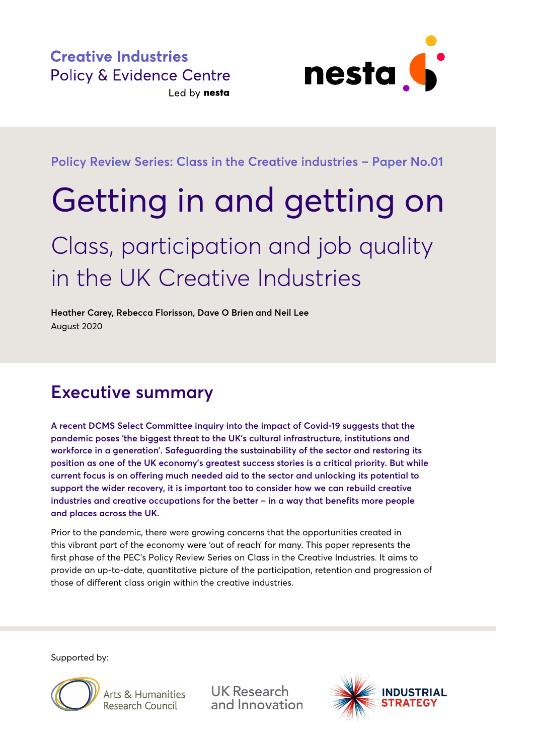

**Policy Review Series: Class in the Creative industries – Paper No.01**

# Getting in and getting on

## Class, participation and job quality in the UK Creative Industries

**Heather Carey, Rebecca Florisson, Dave O Brien and Neil Lee**  August 2020

### **Executive summary**

**A recent DCMS Select Committee inquiry into the impact of Covid-19 suggests that the pandemic poses 'the biggest threat to the UK's cultural infrastructure, institutions and workforce in a generation'. Safeguarding the sustainability of the sector and restoring its position as one of the UK economy's greatest success stories is a critical priority. But while current focus is on offering much needed aid to the sector and unlocking its potential to support the wider recovery, it is important too to consider how we can rebuild creative industries and creative occupations for the better – in a way that benefits more people and places across the UK.**

Prior to the pandemic, there were growing concerns that the opportunities created in this vibrant part of the economy were 'out of reach' for many. This paper represents the first phase of the PEC's Policy Review Series on Class in the Creative Industries. It aims to provide an up-to-date, quantitative picture of the participation, retention and progression of those of different class origin within the creative industries.

Supported by:



Arts & Humanities Research Council

**UK Research** and Innovation

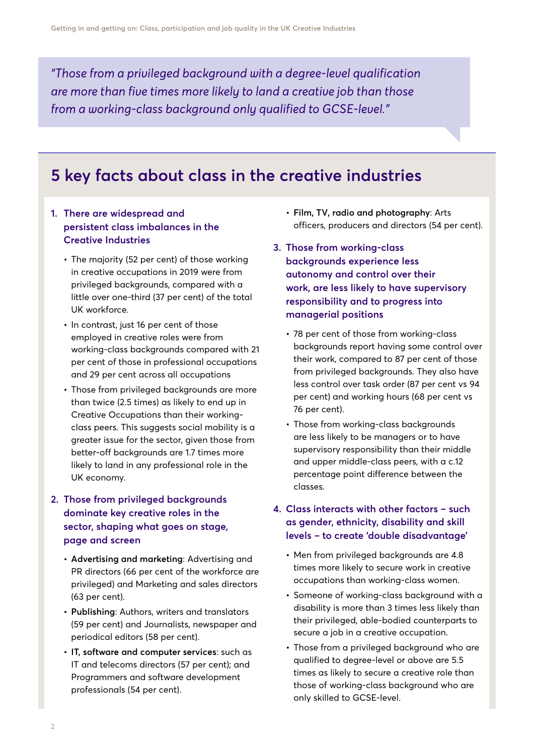*"Those from a privileged background with a degree-level qualification are more than five times more likely to land a creative job than those from a working-class background only qualified to GCSE-level."* 

### **5 key facts about class in the creative industries**

#### **1. There are widespread and persistent class imbalances in the Creative Industries**

- **•** The majority (52 per cent) of those working in creative occupations in 2019 were from privileged backgrounds, compared with a little over one-third (37 per cent) of the total UK workforce.
- **•** In contrast, just 16 per cent of those employed in creative roles were from working-class backgrounds compared with 21 per cent of those in professional occupations and 29 per cent across all occupations
- **•** Those from privileged backgrounds are more than twice (2.5 times) as likely to end up in Creative Occupations than their workingclass peers. This suggests social mobility is a greater issue for the sector, given those from better-off backgrounds are 1.7 times more likely to land in any professional role in the UK economy.

#### **2. Those from privileged backgrounds dominate key creative roles in the sector, shaping what goes on stage, page and screen**

- **• Advertising and marketing**: Advertising and PR directors (66 per cent of the workforce are privileged) and Marketing and sales directors (63 per cent).
- **• Publishing**: Authors, writers and translators (59 per cent) and Journalists, newspaper and periodical editors (58 per cent).
- **• IT, software and computer services**: such as IT and telecoms directors (57 per cent); and Programmers and software development professionals (54 per cent).
- **• Film, TV, radio and photography**: Arts officers, producers and directors (54 per cent).
- **3. Those from working-class backgrounds experience less autonomy and control over their work, are less likely to have supervisory responsibility and to progress into managerial positions**
	- **•** 78 per cent of those from working-class backgrounds report having some control over their work, compared to 87 per cent of those from privileged backgrounds. They also have less control over task order (87 per cent vs 94 per cent) and working hours (68 per cent vs 76 per cent).
	- **•** Those from working-class backgrounds are less likely to be managers or to have supervisory responsibility than their middle and upper middle-class peers, with a c.12 percentage point difference between the classes.
- **4. Class interacts with other factors such as gender, ethnicity, disability and skill levels – to create 'double disadvantage'**
	- **•** Men from privileged backgrounds are 4.8 times more likely to secure work in creative occupations than working-class women.
	- **•** Someone of working-class background with a disability is more than 3 times less likely than their privileged, able-bodied counterparts to secure a job in a creative occupation.
	- **•** Those from a privileged background who are qualified to degree-level or above are 5.5 times as likely to secure a creative role than those of working-class background who are only skilled to GCSE-level.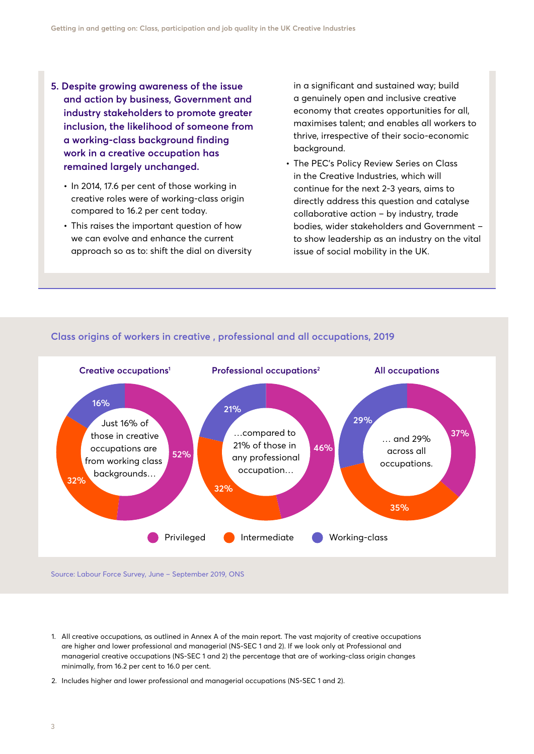- **5. Despite growing awareness of the issue and action by business, Government and industry stakeholders to promote greater inclusion, the likelihood of someone from a working-class background finding work in a creative occupation has remained largely unchanged.** 
	- **•** In 2014, 17.6 per cent of those working in creative roles were of working-class origin compared to 16.2 per cent today.
	- **•** This raises the important question of how we can evolve and enhance the current approach so as to: shift the dial on diversity

in a significant and sustained way; build a genuinely open and inclusive creative economy that creates opportunities for all, maximises talent; and enables all workers to thrive, irrespective of their socio-economic background.

**•** The PEC's Policy Review Series on Class in the Creative Industries, which will continue for the next 2-3 years, aims to directly address this question and catalyse collaborative action – by industry, trade bodies, wider stakeholders and Government – to show leadership as an industry on the vital issue of social mobility in the UK.



#### **Class origins of workers in creative , professional and all occupations, 2019**

Source: Labour Force Survey, June – September 2019, ONS

- 1. All creative occupations, as outlined in Annex A of the main report. The vast majority of creative occupations are higher and lower professional and managerial (NS-SEC 1 and 2). If we look only at Professional and managerial creative occupations (NS-SEC 1 and 2) the percentage that are of working-class origin changes minimally, from 16.2 per cent to 16.0 per cent.
- 2. Includes higher and lower professional and managerial occupations (NS-SEC 1 and 2).